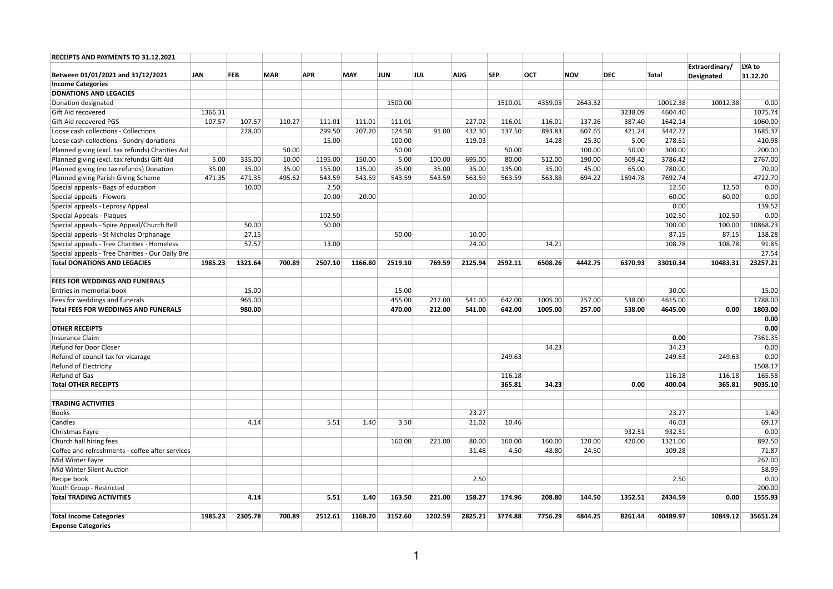| <b>RECEIPTS AND PAYMENTS TO 31.12.2021</b>       |            |            |            |            |            |         |         |            |            |            |            |            |          |                                     |                    |
|--------------------------------------------------|------------|------------|------------|------------|------------|---------|---------|------------|------------|------------|------------|------------|----------|-------------------------------------|--------------------|
| Between 01/01/2021 and 31/12/2021                | <b>JAN</b> | <b>FEB</b> | <b>MAR</b> | <b>APR</b> | <b>MAY</b> | JUN     | JUL     | <b>AUG</b> | <b>SEP</b> | <b>OCT</b> | <b>NOV</b> | <b>DEC</b> | Total    | <b>Extraordinary/</b><br>Designated | LYA to<br>31.12.20 |
| <b>Income Categories</b>                         |            |            |            |            |            |         |         |            |            |            |            |            |          |                                     |                    |
| <b>DONATIONS AND LEGACIES</b>                    |            |            |            |            |            |         |         |            |            |            |            |            |          |                                     |                    |
| Donation designated                              |            |            |            |            |            | 1500.00 |         |            | 1510.01    | 4359.05    | 2643.32    |            | 10012.38 | 10012.38                            | 0.00               |
| Gift Aid recovered                               | 1366.31    |            |            |            |            |         |         |            |            |            |            | 3238.09    | 4604.40  |                                     | 1075.74            |
| <b>Gift Aid recovered PGS</b>                    | 107.57     | 107.57     | 110.27     | 111.01     | 111.01     | 111.01  |         | 227.02     | 116.01     | 116.01     | 137.26     | 387.40     | 1642.14  |                                     | 1060.00            |
| Loose cash collections - Collections             |            | 228.00     |            | 299.50     | 207.20     | 124.50  | 91.00   | 432.30     | 137.50     | 893.83     | 607.65     | 421.24     | 3442.72  |                                     | 1685.37            |
| Loose cash collections - Sundry donations        |            |            |            | 15.00      |            | 100.00  |         | 119.03     |            | 14.28      | 25.30      | 5.00       | 278.61   |                                     | 410.98             |
| Planned giving (excl. tax refunds) Charities Aid |            |            | 50.00      |            |            | 50.00   |         |            | 50.00      |            | 100.00     | 50.00      | 300.00   |                                     | 200.00             |
| Planned giving (excl. tax refunds) Gift Aid      | 5.00       | 335.00     | 10.00      | 1195.00    | 150.00     | 5.00    | 100.00  | 695.00     | 80.00      | 512.00     | 190.00     | 509.42     | 3786.42  |                                     | 2767.00            |
| Planned giving (no tax refunds) Donation         | 35.00      | 35.00      | 35.00      | 155.00     | 135.00     | 35.00   | 35.00   | 35.00      | 135.00     | 35.00      | 45.00      | 65.00      | 780.00   |                                     | 70.00              |
| Planned giving Parish Giving Scheme              | 471.35     | 471.35     | 495.62     | 543.59     | 543.59     | 543.59  | 543.59  | 563.59     | 563.59     | 563.88     | 694.22     | 1694.78    | 7692.74  |                                     | 4722.70            |
| Special appeals - Bags of education              |            | 10.00      |            | 2.50       |            |         |         |            |            |            |            |            | 12.50    | 12.50                               | 0.00               |
| Special appeals - Flowers                        |            |            |            | 20.00      | 20.00      |         |         | 20.00      |            |            |            |            | 60.00    | 60.00                               | 0.00               |
|                                                  |            |            |            |            |            |         |         |            |            |            |            |            |          |                                     |                    |
| Special appeals - Leprosy Appeal                 |            |            |            |            |            |         |         |            |            |            |            |            | 0.00     |                                     | 139.52             |
| Special Appeals - Plaques                        |            |            |            | 102.50     |            |         |         |            |            |            |            |            | 102.50   | 102.50                              | 0.00               |
| Special appeals - Spire Appeal/Church Bell       |            | 50.00      |            | 50.00      |            |         |         |            |            |            |            |            | 100.00   | 100.00                              | 10868.23           |
| Special appeals - St Nicholas Orphanage          |            | 27.15      |            |            |            | 50.00   |         | 10.00      |            |            |            |            | 87.15    | 87.15                               | 138.28             |
| Special appeals - Tree Charities - Homeless      |            | 57.57      |            | 13.00      |            |         |         | 24.00      |            | 14.21      |            |            | 108.78   | 108.78                              | 91.85              |
| Special appeals - Tree Charities - Our Daily Bre |            |            |            |            |            |         |         |            |            |            |            |            |          |                                     | 27.54              |
| <b>Total DONATIONS AND LEGACIES</b>              | 1985.23    | 1321.64    | 700.89     | 2507.10    | 1166.80    | 2519.10 | 769.59  | 2125.94    | 2592.11    | 6508.26    | 4442.75    | 6370.93    | 33010.34 | 10483.31                            | 23257.21           |
| <b>FEES FOR WEDDINGS AND FUNERALS</b>            |            |            |            |            |            |         |         |            |            |            |            |            |          |                                     |                    |
| <b>Entries in memorial book</b>                  |            | 15.00      |            |            |            | 15.00   |         |            |            |            |            |            | 30.00    |                                     | 15.00              |
| Fees for weddings and funerals                   |            | 965.00     |            |            |            | 455.00  | 212.00  | 541.00     | 642.00     | 1005.00    | 257.00     | 538.00     | 4615.00  |                                     | 1788.00            |
| <b>Total FEES FOR WEDDINGS AND FUNERALS</b>      |            | 980.00     |            |            |            | 470.00  | 212.00  | 541.00     | 642.00     | 1005.00    | 257.00     | 538.00     | 4645.00  | 0.00                                | 1803.00            |
|                                                  |            |            |            |            |            |         |         |            |            |            |            |            |          |                                     | 0.00               |
| <b>OTHER RECEIPTS</b>                            |            |            |            |            |            |         |         |            |            |            |            |            |          |                                     | 0.00               |
| Insurance Claim                                  |            |            |            |            |            |         |         |            |            |            |            |            | 0.00     |                                     | 7361.35            |
| Refund for Door Closer                           |            |            |            |            |            |         |         |            |            | 34.23      |            |            | 34.23    |                                     | 0.00               |
| Refund of council tax for vicarage               |            |            |            |            |            |         |         |            | 249.63     |            |            |            | 249.63   | 249.63                              | 0.00               |
| <b>Refund of Electricity</b>                     |            |            |            |            |            |         |         |            |            |            |            |            |          |                                     | 1508.17            |
| Refund of Gas                                    |            |            |            |            |            |         |         |            | 116.18     |            |            |            | 116.18   | 116.18                              | 165.58             |
| <b>Total OTHER RECEIPTS</b>                      |            |            |            |            |            |         |         |            | 365.81     | 34.23      |            | 0.00       | 400.04   | 365.81                              | 9035.10            |
|                                                  |            |            |            |            |            |         |         |            |            |            |            |            |          |                                     |                    |
| <b>TRADING ACTIVITIES</b>                        |            |            |            |            |            |         |         |            |            |            |            |            |          |                                     |                    |
| <b>Books</b>                                     |            |            |            |            |            |         |         | 23.27      |            |            |            |            | 23.27    |                                     | 1.40               |
| <b>Candles</b>                                   |            | 4.14       |            | 5.51       | 1.40       | 3.50    |         | 21.02      | 10.46      |            |            |            | 46.03    |                                     | 69.17              |
| Christmas Fayre                                  |            |            |            |            |            |         |         |            |            |            |            | 932.51     | 932.51   |                                     | 0.00               |
| Church hall hiring fees                          |            |            |            |            |            | 160.00  | 221.00  | 80.00      | 160.00     | 160.00     | 120.00     | 420.00     | 1321.00  |                                     | 892.50             |
| Coffee and refreshments - coffee after services  |            |            |            |            |            |         |         | 31.48      | 4.50       | 48.80      | 24.50      |            | 109.28   |                                     | 71.87              |
| Mid Winter Fayre                                 |            |            |            |            |            |         |         |            |            |            |            |            |          |                                     | 262.00             |
| Mid Winter Silent Auction                        |            |            |            |            |            |         |         |            |            |            |            |            |          |                                     | 58.99              |
| Recipe book                                      |            |            |            |            |            |         |         | 2.50       |            |            |            |            | 2.50     |                                     | 0.00               |
| Youth Group - Restricted                         |            |            |            |            |            |         |         |            |            |            |            |            |          |                                     | 200.00             |
| <b>Total TRADING ACTIVITIES</b>                  |            | 4.14       |            | 5.51       | 1.40       | 163.50  | 221.00  | 158.27     | 174.96     | 208.80     | 144.50     | 1352.51    | 2434.59  | 0.00                                | 1555.93            |
|                                                  |            |            |            |            |            |         |         |            |            |            |            |            |          |                                     |                    |
| <b>Total Income Categories</b>                   | 1985.23    | 2305.78    | 700.89     | 2512.61    | 1168.20    | 3152.60 | 1202.59 | 2825.21    | 3774.88    | 7756.29    | 4844.25    | 8261.44    | 40489.97 | 10849.12                            | 35651.24           |
| <b>Expense Categories</b>                        |            |            |            |            |            |         |         |            |            |            |            |            |          |                                     |                    |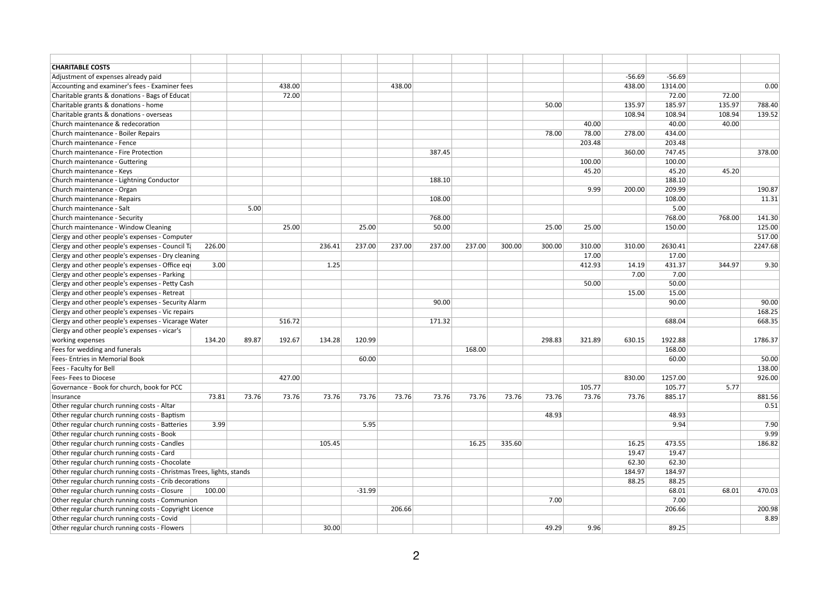| <b>CHARITABLE COSTS</b>                                              |       |        |        |          |        |        |        |        |        |        |          |          |        |         |
|----------------------------------------------------------------------|-------|--------|--------|----------|--------|--------|--------|--------|--------|--------|----------|----------|--------|---------|
| Adjustment of expenses already paid                                  |       |        |        |          |        |        |        |        |        |        | $-56.69$ | $-56.69$ |        |         |
| Accounting and examiner's fees - Examiner fees                       |       | 438.00 |        |          | 438.00 |        |        |        |        |        | 438.00   | 1314.00  |        | 0.00    |
| Charitable grants & donations - Bags of Educat                       |       | 72.00  |        |          |        |        |        |        |        |        |          | 72.00    | 72.00  |         |
| Charitable grants & donations - home                                 |       |        |        |          |        |        |        |        | 50.00  |        | 135.97   | 185.97   | 135.97 | 788.40  |
| Charitable grants & donations - overseas                             |       |        |        |          |        |        |        |        |        |        | 108.94   | 108.94   | 108.94 | 139.52  |
| Church maintenance & redecoration                                    |       |        |        |          |        |        |        |        |        | 40.00  |          | 40.00    | 40.00  |         |
| Church maintenance - Boiler Repairs                                  |       |        |        |          |        |        |        |        | 78.00  | 78.00  | 278.00   | 434.00   |        |         |
| Church maintenance - Fence                                           |       |        |        |          |        |        |        |        |        | 203.48 |          | 203.48   |        |         |
| Church maintenance - Fire Protection                                 |       |        |        |          |        | 387.45 |        |        |        |        | 360.00   | 747.45   |        | 378.00  |
| Church maintenance - Guttering                                       |       |        |        |          |        |        |        |        |        | 100.00 |          | 100.00   |        |         |
| Church maintenance - Keys                                            |       |        |        |          |        |        |        |        |        | 45.20  |          | 45.20    | 45.20  |         |
| Church maintenance - Lightning Conductor                             |       |        |        |          |        | 188.10 |        |        |        |        |          | 188.10   |        |         |
| Church maintenance - Organ                                           |       |        |        |          |        |        |        |        |        | 9.99   | 200.00   | 209.99   |        | 190.87  |
|                                                                      |       |        |        |          |        | 108.00 |        |        |        |        |          | 108.00   |        | 11.31   |
| Church maintenance - Repairs<br>Church maintenance - Salt            | 5.00  |        |        |          |        |        |        |        |        |        |          |          |        |         |
|                                                                      |       |        |        |          |        |        |        |        |        |        |          | 5.00     |        |         |
| Church maintenance - Security                                        |       |        |        |          |        | 768.00 |        |        |        |        |          | 768.00   | 768.00 | 141.30  |
| Church maintenance - Window Cleaning                                 |       | 25.00  |        | 25.00    |        | 50.00  |        |        | 25.00  | 25.00  |          | 150.00   |        | 125.00  |
| Clergy and other people's expenses - Computer                        |       |        |        |          |        |        |        |        |        |        |          |          |        | 517.00  |
| Clergy and other people's expenses - Council Ta<br>226.00            |       |        | 236.41 | 237.00   | 237.00 | 237.00 | 237.00 | 300.00 | 300.00 | 310.00 | 310.00   | 2630.41  |        | 2247.68 |
| Clergy and other people's expenses - Dry cleaning                    |       |        |        |          |        |        |        |        |        | 17.00  |          | 17.00    |        |         |
| Clergy and other people's expenses - Office equ<br>3.00              |       |        | 1.25   |          |        |        |        |        |        | 412.93 | 14.19    | 431.37   | 344.97 | 9.30    |
| Clergy and other people's expenses - Parking                         |       |        |        |          |        |        |        |        |        |        | 7.00     | 7.00     |        |         |
| Clergy and other people's expenses - Petty Cash                      |       |        |        |          |        |        |        |        |        | 50.00  |          | 50.00    |        |         |
| Clergy and other people's expenses - Retreat                         |       |        |        |          |        |        |        |        |        |        | 15.00    | 15.00    |        |         |
| Clergy and other people's expenses - Security Alarm                  |       |        |        |          |        | 90.00  |        |        |        |        |          | 90.00    |        | 90.00   |
| Clergy and other people's expenses - Vic repairs                     |       |        |        |          |        |        |        |        |        |        |          |          |        | 168.25  |
| Clergy and other people's expenses - Vicarage Water                  |       | 516.72 |        |          |        | 171.32 |        |        |        |        |          | 688.04   |        | 668.35  |
| Clergy and other people's expenses - vicar's                         |       |        |        |          |        |        |        |        |        |        |          |          |        |         |
| 134.20<br>working expenses                                           | 89.87 | 192.67 | 134.28 | 120.99   |        |        |        |        | 298.83 | 321.89 | 630.15   | 1922.88  |        | 1786.37 |
| Fees for wedding and funerals                                        |       |        |        |          |        |        | 168.00 |        |        |        |          | 168.00   |        |         |
| Fees- Entries in Memorial Book                                       |       |        |        | 60.00    |        |        |        |        |        |        |          | 60.00    |        | 50.00   |
| Fees - Faculty for Bell                                              |       |        |        |          |        |        |        |        |        |        |          |          |        | 138.00  |
| <b>Fees-Fees to Diocese</b>                                          |       | 427.00 |        |          |        |        |        |        |        |        | 830.00   | 1257.00  |        | 926.00  |
| Governance - Book for church, book for PCC                           |       |        |        |          |        |        |        |        |        | 105.77 |          | 105.77   | 5.77   |         |
| 73.81<br>Insurance                                                   | 73.76 | 73.76  | 73.76  | 73.76    | 73.76  | 73.76  | 73.76  | 73.76  | 73.76  | 73.76  | 73.76    | 885.17   |        | 881.56  |
| Other regular church running costs - Altar                           |       |        |        |          |        |        |        |        |        |        |          |          |        | 0.51    |
| Other regular church running costs - Baptism                         |       |        |        |          |        |        |        |        | 48.93  |        |          | 48.93    |        |         |
| Other regular church running costs - Batteries<br>3.99               |       |        |        | 5.95     |        |        |        |        |        |        |          | 9.94     |        | 7.90    |
| Other regular church running costs - Book                            |       |        |        |          |        |        |        |        |        |        |          |          |        | 9.99    |
| Other regular church running costs - Candles                         |       |        | 105.45 |          |        |        | 16.25  | 335.60 |        |        | 16.25    | 473.55   |        | 186.82  |
| Other regular church running costs - Card                            |       |        |        |          |        |        |        |        |        |        | 19.47    | 19.47    |        |         |
| Other regular church running costs - Chocolate                       |       |        |        |          |        |        |        |        |        |        | 62.30    | 62.30    |        |         |
| Other regular church running costs - Christmas Trees, lights, stands |       |        |        |          |        |        |        |        |        |        | 184.97   | 184.97   |        |         |
| Other regular church running costs - Crib decorations                |       |        |        |          |        |        |        |        |        |        | 88.25    | 88.25    |        |         |
| Other regular church running costs - Closure<br>100.00               |       |        |        | $-31.99$ |        |        |        |        |        |        |          | 68.01    | 68.01  | 470.03  |
| Other regular church running costs - Communion                       |       |        |        |          |        |        |        |        | 7.00   |        |          | 7.00     |        |         |
| Other regular church running costs - Copyright Licence               |       |        |        |          | 206.66 |        |        |        |        |        |          | 206.66   |        | 200.98  |
| Other regular church running costs - Covid                           |       |        |        |          |        |        |        |        |        |        |          |          |        | 8.89    |
| Other regular church running costs - Flowers                         |       |        | 30.00  |          |        |        |        |        | 49.29  | 9.96   |          | 89.25    |        |         |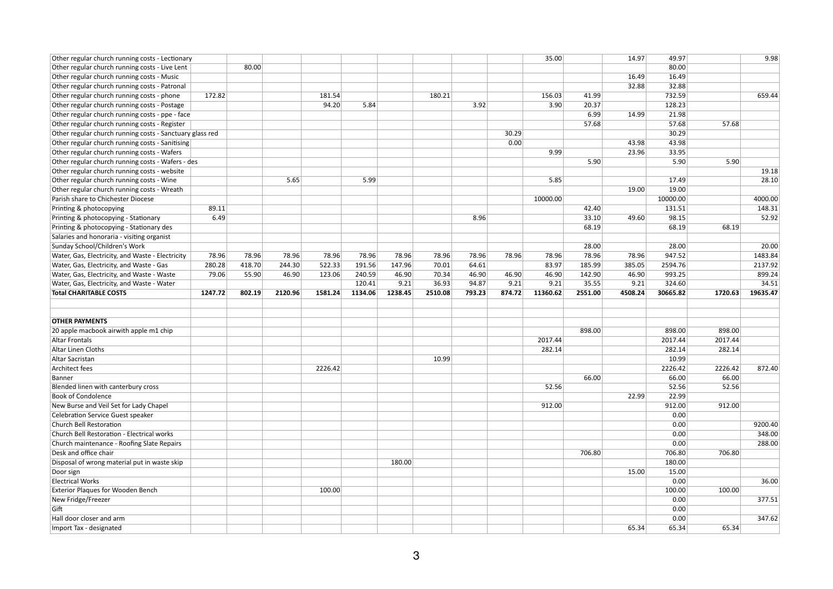| Other regular church running costs - Lectionary          |         |        |         |         |         |         |         |        |        | 35.00    |         | 14.97   | 49.97         |         | 9.98     |
|----------------------------------------------------------|---------|--------|---------|---------|---------|---------|---------|--------|--------|----------|---------|---------|---------------|---------|----------|
| Other regular church running costs - Live Lent           |         | 80.00  |         |         |         |         |         |        |        |          |         |         | 80.00         |         |          |
| Other regular church running costs - Music               |         |        |         |         |         |         |         |        |        |          |         | 16.49   | 16.49         |         |          |
| Other regular church running costs - Patronal            |         |        |         |         |         |         |         |        |        |          |         | 32.88   | 32.88         |         |          |
| Other regular church running costs - phone               | 172.82  |        |         | 181.54  |         |         | 180.21  |        |        | 156.03   | 41.99   |         | 732.59        |         | 659.44   |
| Other regular church running costs - Postage             |         |        |         | 94.20   | 5.84    |         |         | 3.92   |        | 3.90     | 20.37   |         | 128.23        |         |          |
| Other regular church running costs - ppe - face          |         |        |         |         |         |         |         |        |        |          | 6.99    | 14.99   | 21.98         |         |          |
| Other regular church running costs - Register            |         |        |         |         |         |         |         |        |        |          | 57.68   |         | 57.68         | 57.68   |          |
| Other regular church running costs - Sanctuary glass red |         |        |         |         |         |         |         |        | 30.29  |          |         |         | 30.29         |         |          |
| Other regular church running costs - Sanitising          |         |        |         |         |         |         |         |        | 0.00   |          |         | 43.98   | 43.98         |         |          |
| Other regular church running costs - Wafers              |         |        |         |         |         |         |         |        |        | 9.99     |         | 23.96   | 33.95         |         |          |
| Other regular church running costs - Wafers - des        |         |        |         |         |         |         |         |        |        |          | 5.90    |         | 5.90          | 5.90    |          |
| Other regular church running costs - website             |         |        |         |         |         |         |         |        |        |          |         |         |               |         | 19.18    |
| Other regular church running costs - Wine                |         |        | 5.65    |         | 5.99    |         |         |        |        | 5.85     |         |         | 17.49         |         | 28.10    |
| Other regular church running costs - Wreath              |         |        |         |         |         |         |         |        |        |          |         | 19.00   | 19.00         |         |          |
| Parish share to Chichester Diocese                       |         |        |         |         |         |         |         |        |        | 10000.00 |         |         | 10000.00      |         | 4000.00  |
| Printing & photocopying                                  | 89.11   |        |         |         |         |         |         |        |        |          | 42.40   |         | 131.51        |         | 148.31   |
| Printing & photocopying - Stationary                     | 6.49    |        |         |         |         |         |         | 8.96   |        |          | 33.10   | 49.60   | 98.15         |         | 52.92    |
| Printing & photocopying - Stationary des                 |         |        |         |         |         |         |         |        |        |          | 68.19   |         | 68.19         | 68.19   |          |
| Salaries and honoraria - visiting organist               |         |        |         |         |         |         |         |        |        |          |         |         |               |         |          |
| Sunday School/Children's Work                            |         |        |         |         |         |         |         |        |        |          | 28.00   |         | 28.00         |         | 20.00    |
| Water, Gas, Electricity, and Waste - Electricity         | 78.96   | 78.96  | 78.96   | 78.96   | 78.96   | 78.96   | 78.96   | 78.96  | 78.96  | 78.96    | 78.96   | 78.96   | 947.52        |         | 1483.84  |
| Water, Gas, Electricity, and Waste - Gas                 | 280.28  | 418.70 | 244.30  | 522.33  | 191.56  | 147.96  | 70.01   | 64.61  |        | 83.97    | 185.99  | 385.05  | 2594.76       |         | 2137.92  |
| Water, Gas, Electricity, and Waste - Waste               | 79.06   | 55.90  | 46.90   | 123.06  | 240.59  | 46.90   | 70.34   | 46.90  | 46.90  | 46.90    | 142.90  | 46.90   | 993.25        |         | 899.24   |
| Water, Gas, Electricity, and Waste - Water               |         |        |         |         | 120.41  | 9.21    | 36.93   | 94.87  | 9.21   | 9.21     | 35.55   | 9.21    | 324.60        |         | 34.51    |
|                                                          |         |        |         |         |         |         |         |        |        |          |         |         | 30665.82      |         | 19635.47 |
|                                                          |         |        |         |         |         |         |         |        |        |          |         |         |               |         |          |
| <b>Total CHARITABLE COSTS</b>                            | 1247.72 | 802.19 | 2120.96 | 1581.24 | 1134.06 | 1238.45 | 2510.08 | 793.23 | 874.72 | 11360.62 | 2551.00 | 4508.24 |               | 1720.63 |          |
|                                                          |         |        |         |         |         |         |         |        |        |          |         |         |               |         |          |
|                                                          |         |        |         |         |         |         |         |        |        |          |         |         |               |         |          |
| <b>OTHER PAYMENTS</b>                                    |         |        |         |         |         |         |         |        |        |          |         |         |               |         |          |
| 20 apple macbook airwith apple m1 chip                   |         |        |         |         |         |         |         |        |        |          | 898.00  |         | 898.00        | 898.00  |          |
| <b>Altar Frontals</b>                                    |         |        |         |         |         |         |         |        |        | 2017.44  |         |         | 2017.44       | 2017.44 |          |
| Altar Linen Cloths                                       |         |        |         |         |         |         |         |        |        | 282.14   |         |         | 282.14        | 282.14  |          |
| Altar Sacristan                                          |         |        |         |         |         |         | 10.99   |        |        |          |         |         | 10.99         |         |          |
| Architect fees                                           |         |        |         | 2226.42 |         |         |         |        |        |          |         |         | 2226.42       | 2226.42 | 872.40   |
| Banner                                                   |         |        |         |         |         |         |         |        |        |          | 66.00   |         | 66.00         | 66.00   |          |
| Blended linen with canterbury cross                      |         |        |         |         |         |         |         |        |        | 52.56    |         |         | 52.56         | 52.56   |          |
| <b>Book of Condolence</b>                                |         |        |         |         |         |         |         |        |        |          |         | 22.99   | 22.99         |         |          |
| New Burse and Veil Set for Lady Chapel                   |         |        |         |         |         |         |         |        |        | 912.00   |         |         | 912.00        | 912.00  |          |
| <b>Celebration Service Guest speaker</b>                 |         |        |         |         |         |         |         |        |        |          |         |         | 0.00          |         |          |
| <b>Church Bell Restoration</b>                           |         |        |         |         |         |         |         |        |        |          |         |         | 0.00          |         | 9200.40  |
| Church Bell Restoration - Electrical works               |         |        |         |         |         |         |         |        |        |          |         |         | 0.00          |         | 348.00   |
| Church maintenance - Roofing Slate Repairs               |         |        |         |         |         |         |         |        |        |          |         |         | 0.00          |         | 288.00   |
| Desk and office chair                                    |         |        |         |         |         |         |         |        |        |          | 706.80  |         | 706.80        | 706.80  |          |
| Disposal of wrong material put in waste skip             |         |        |         |         |         | 180.00  |         |        |        |          |         |         | 180.00        |         |          |
| Door sign                                                |         |        |         |         |         |         |         |        |        |          |         | 15.00   | 15.00         |         |          |
| <b>Electrical Works</b>                                  |         |        |         |         |         |         |         |        |        |          |         |         | 0.00          |         | 36.00    |
| <b>Exterior Plaques for Wooden Bench</b>                 |         |        |         | 100.00  |         |         |         |        |        |          |         |         | 100.00        | 100.00  |          |
| New Fridge/Freezer                                       |         |        |         |         |         |         |         |        |        |          |         |         | 0.00          |         | 377.51   |
| $ $ Gift                                                 |         |        |         |         |         |         |         |        |        |          |         |         | 0.00          |         |          |
| Hall door closer and arm<br>Import Tax - designated      |         |        |         |         |         |         |         |        |        |          |         | 65.34   | 0.00<br>65.34 | 65.34   | 347.62   |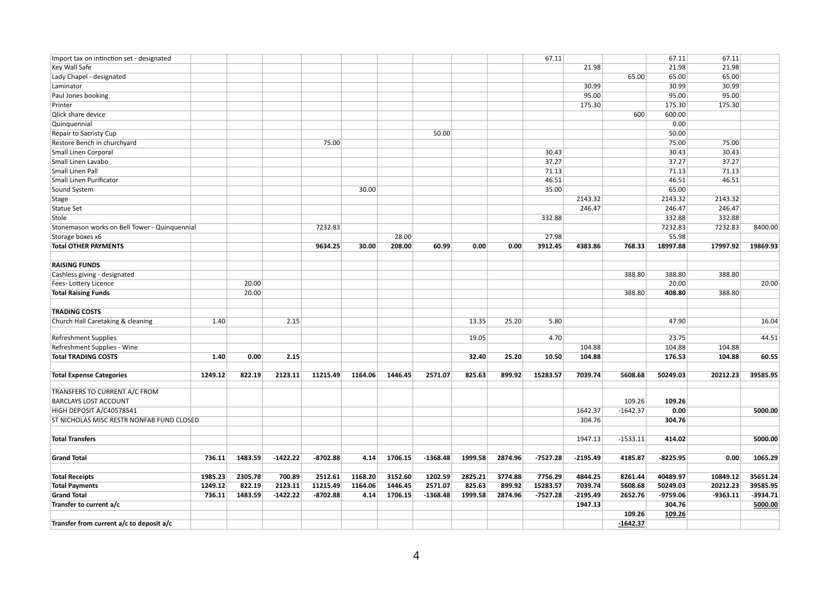| Import tax on intinction set - designated     |         |            |            |         |         |            |         |         | 67.11      |            |            | 67.11      | 67.11      |            |
|-----------------------------------------------|---------|------------|------------|---------|---------|------------|---------|---------|------------|------------|------------|------------|------------|------------|
| Key Wall Safe                                 |         |            |            |         |         |            |         |         |            | 21.98      |            | 21.98      | 21.98      |            |
| Lady Chapel - designated                      |         |            |            |         |         |            |         |         |            |            | 65.00      | 65.00      | 65.00      |            |
| Laminator                                     |         |            |            |         |         |            |         |         |            | 30.99      |            | 30.99      | 30.99      |            |
| Paul Jones booking                            |         |            |            |         |         |            |         |         |            | 95.00      |            | 95.00      | 95.00      |            |
| Printer                                       |         |            |            |         |         |            |         |         |            | 175.30     |            | 175.30     | 175.30     |            |
| Qlick share device                            |         |            |            |         |         |            |         |         |            |            | 600        | 600.00     |            |            |
| Quinquennial                                  |         |            |            |         |         |            |         |         |            |            |            | 0.00       |            |            |
| <b>Repair to Sacristy Cup</b>                 |         |            |            |         |         | 50.00      |         |         |            |            |            | 50.00      |            |            |
|                                               |         |            | 75.00      |         |         |            |         |         |            |            |            |            | 75.00      |            |
| Restore Bench in churchyard                   |         |            |            |         |         |            |         |         |            |            |            | 75.00      |            |            |
| Small Linen Corporal                          |         |            |            |         |         |            |         |         | 30.43      |            |            | 30.43      | 30.43      |            |
| Small Linen Lavabo                            |         |            |            |         |         |            |         |         | 37.27      |            |            | 37.27      | 37.27      |            |
| Small Linen Pall                              |         |            |            |         |         |            |         |         | 71.13      |            |            | 71.13      | 71.13      |            |
| Small Linen Purificator                       |         |            |            |         |         |            |         |         | 46.51      |            |            | 46.51      | 46.51      |            |
| Sound System                                  |         |            |            | 30.00   |         |            |         |         | 35.00      |            |            | 65.00      |            |            |
| Stage                                         |         |            |            |         |         |            |         |         |            | 2143.32    |            | 2143.32    | 2143.32    |            |
| Statue Set                                    |         |            |            |         |         |            |         |         |            | 246.47     |            | 246.47     | 246.47     |            |
| Stole                                         |         |            |            |         |         |            |         |         | 332.88     |            |            | 332.88     | 332.88     |            |
| Stonemason works on Bell Tower - Quinquennial |         |            | 7232.83    |         |         |            |         |         |            |            |            | 7232.83    | 7232.83    | 8400.00    |
| Storage boxes x6                              |         |            |            |         | 28.00   |            |         |         | 27.98      |            |            | 55.98      |            |            |
| <b>Total OTHER PAYMENTS</b>                   |         |            | 9634.25    | 30.00   | 208.00  | 60.99      | 0.00    | 0.00    | 3912.45    | 4383.86    | 768.33     | 18997.88   | 17997.92   | 19869.93   |
| <b>RAISING FUNDS</b>                          |         |            |            |         |         |            |         |         |            |            |            |            |            |            |
| Cashless giving - designated                  |         |            |            |         |         |            |         |         |            |            | 388.80     | 388.80     | 388.80     |            |
| Fees-Lottery Licence                          | 20.00   |            |            |         |         |            |         |         |            |            |            | 20.00      |            | 20.00      |
|                                               |         |            |            |         |         |            |         |         |            |            |            |            |            |            |
| <b>Total Raising Funds</b>                    | 20.00   |            |            |         |         |            |         |         |            |            | 388.80     | 408.80     | 388.80     |            |
| <b>TRADING COSTS</b>                          |         |            |            |         |         |            |         |         |            |            |            |            |            |            |
| Church Hall Caretaking & cleaning<br>1.40     |         | 2.15       |            |         |         |            | 13.35   | 25.20   | 5.80       |            |            | 47.90      |            | 16.04      |
|                                               |         |            |            |         |         |            |         |         |            |            |            |            |            |            |
| <b>Refreshment Supplies</b>                   |         |            |            |         |         |            | 19.05   |         | 4.70       |            |            | 23.75      |            | 44.51      |
| Refreshment Supplies - Wine                   |         |            |            |         |         |            |         |         |            | 104.88     |            | 104.88     | 104.88     |            |
| <b>Total TRADING COSTS</b><br>1.40            | 0.00    | 2.15       |            |         |         |            | 32.40   | 25.20   | 10.50      | 104.88     |            | 176.53     | 104.88     | 60.55      |
|                                               |         |            |            |         |         |            |         |         |            |            |            |            |            |            |
| <b>Total Expense Categories</b><br>1249.12    | 822.19  | 2123.11    | 11215.49   | 1164.06 | 1446.45 | 2571.07    | 825.63  | 899.92  | 15283.57   | 7039.74    | 5608.68    | 50249.03   | 20212.23   | 39585.95   |
| TRANSFERS TO CURRENT A/C FROM                 |         |            |            |         |         |            |         |         |            |            |            |            |            |            |
| <b>BARCLAYS LOST ACCOUNT</b>                  |         |            |            |         |         |            |         |         |            |            | 109.26     | 109.26     |            |            |
| HIGH DEPOSIT A/C40578541                      |         |            |            |         |         |            |         |         |            | 1642.37    | $-1642.37$ | 0.00       |            | 5000.00    |
| ST NICHOLAS MISC RESTR NONFAB FUND CLOSED     |         |            |            |         |         |            |         |         |            | 304.76     |            | 304.76     |            |            |
|                                               |         |            |            |         |         |            |         |         |            |            |            |            |            |            |
| <b>Total Transfers</b>                        |         |            |            |         |         |            |         |         |            | 1947.13    | $-1533.11$ | 414.02     |            | 5000.00    |
|                                               |         |            |            |         |         |            |         |         |            |            |            |            |            |            |
| <b>Grand Total</b><br>736.11                  | 1483.59 | $-1422.22$ | $-8702.88$ | 4.14    | 1706.15 | $-1368.48$ | 1999.58 | 2874.96 | $-7527.28$ | $-2195.49$ | 4185.87    | $-8225.95$ | 0.00       | 1065.29    |
|                                               |         |            |            |         |         |            |         |         |            |            |            |            |            |            |
| <b>Total Receipts</b><br>1985.23              | 2305.78 | 700.89     | 2512.61    | 1168.20 | 3152.60 | 1202.59    | 2825.21 | 3774.88 | 7756.29    | 4844.25    | 8261.44    | 40489.97   | 10849.12   | 35651.24   |
| <b>Total Payments</b><br>1249.12              | 822.19  | 2123.11    | 11215.49   | 1164.06 | 1446.45 | 2571.07    | 825.63  | 899.92  | 15283.57   | 7039.74    | 5608.68    | 50249.03   | 20212.23   | 39585.95   |
| <b>Grand Total</b><br>736.11                  | 1483.59 | $-1422.22$ | $-8702.88$ | 4.14    | 1706.15 | $-1368.48$ | 1999.58 | 2874.96 | $-7527.28$ | $-2195.49$ | 2652.76    | $-9759.06$ | $-9363.11$ | $-3934.71$ |
| Transfer to current a/c                       |         |            |            |         |         |            |         |         |            | 1947.13    |            | 304.76     |            | 5000.00    |
|                                               |         |            |            |         |         |            |         |         |            |            | 109.26     | 109.26     |            |            |
| Transfer from current $a/c$ to deposit $a/c$  |         |            |            |         |         |            |         |         |            |            | $-1642.37$ |            |            |            |